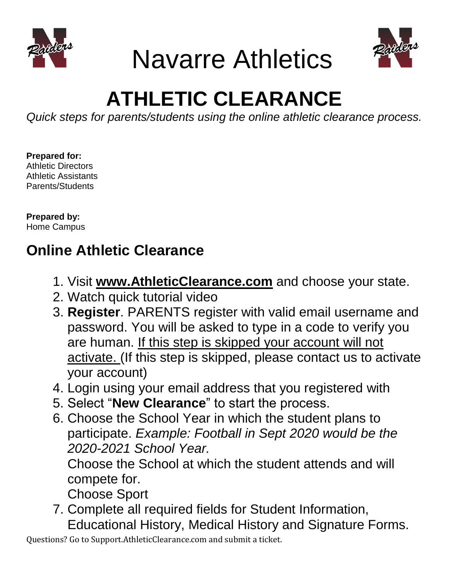

Navarre Athletics



# **ATHLETIC CLEARANCE**

*Quick steps for parents/students using the online athletic clearance process.* 

**Prepared for:**  Athletic Directors Athletic Assistants Parents/Students

**Prepared by:**  Home Campus

# **Online Athletic Clearance**

- 1. Visit **[www.AthleticClearance.com](http://www.athleticclearance.com/)** and choose your state.
- 2. Watch quick tutorial video
- 3. **Register**. PARENTS register with valid email username and password. You will be asked to type in a code to verify you are human. If this step is skipped your account will not activate. (If this step is skipped, please contact us to activate your account)
- 4. Login using your email address that you registered with
- 5. Select "**New Clearance**" to start the process.
- 6. Choose the School Year in which the student plans to participate. *Example: Football in Sept 2020 would be the 2020-2021 School Year.*

Choose the School at which the student attends and will compete for.

Choose Sport

7. Complete all required fields for Student Information, Educational History, Medical History and Signature Forms.

Questions? Go to Support.AthleticClearance.com and submit a ticket.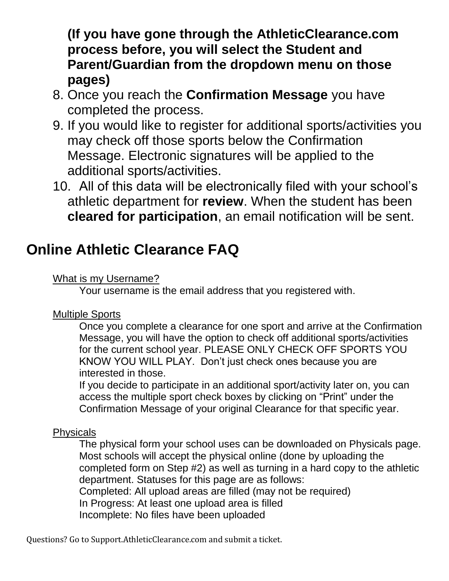**(If you have gone through the AthleticClearance.com process before, you will select the Student and Parent/Guardian from the dropdown menu on those pages)**

- 8. Once you reach the **Confirmation Message** you have completed the process.
- 9. If you would like to register for additional sports/activities you may check off those sports below the Confirmation Message. Electronic signatures will be applied to the additional sports/activities.
- 10. All of this data will be electronically filed with your school's athletic department for **review**. When the student has been **cleared for participation**, an email notification will be sent.

# **Online Athletic Clearance FAQ**

### What is my Username?

Your username is the email address that you registered with.

## Multiple Sports

Once you complete a clearance for one sport and arrive at the Confirmation Message, you will have the option to check off additional sports/activities for the current school year. PLEASE ONLY CHECK OFF SPORTS YOU KNOW YOU WILL PLAY. Don't just check ones because you are interested in those.

If you decide to participate in an additional sport/activity later on, you can access the multiple sport check boxes by clicking on "Print" under the Confirmation Message of your original Clearance for that specific year.

## **Physicals**

The physical form your school uses can be downloaded on Physicals page. Most schools will accept the physical online (done by uploading the completed form on Step #2) as well as turning in a hard copy to the athletic department. Statuses for this page are as follows: Completed: All upload areas are filled (may not be required) In Progress: At least one upload area is filled Incomplete: No files have been uploaded

Questions? Go to Support.AthleticClearance.com and submit a ticket.